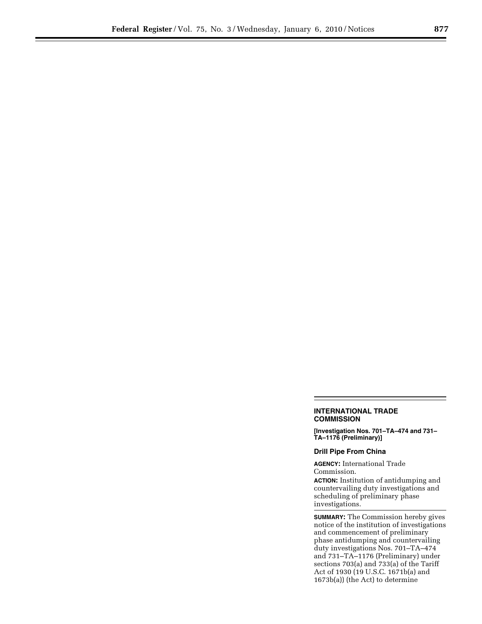## **INTERNATIONAL TRADE COMMISSION**

**[Investigation Nos. 701–TA–474 and 731– TA–1176 (Preliminary)]** 

## **Drill Pipe From China**

**AGENCY:** International Trade Commission.

**ACTION:** Institution of antidumping and countervailing duty investigations and scheduling of preliminary phase investigations.

**SUMMARY:** The Commission hereby gives notice of the institution of investigations and commencement of preliminary phase antidumping and countervailing duty investigations Nos. 701–TA–474 and 731–TA–1176 (Preliminary) under sections 703(a) and 733(a) of the Tariff Act of 1930 (19 U.S.C. 1671b(a) and 1673b(a)) (the Act) to determine